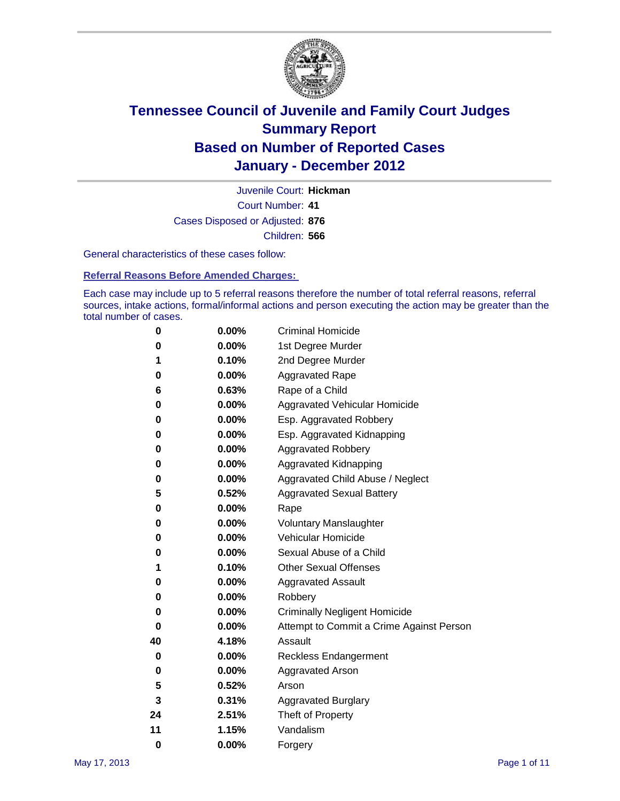

Court Number: **41** Juvenile Court: **Hickman** Cases Disposed or Adjusted: **876** Children: **566**

General characteristics of these cases follow:

**Referral Reasons Before Amended Charges:** 

Each case may include up to 5 referral reasons therefore the number of total referral reasons, referral sources, intake actions, formal/informal actions and person executing the action may be greater than the total number of cases.

| 0  | 0.00%    | <b>Criminal Homicide</b>                 |
|----|----------|------------------------------------------|
| 0  | 0.00%    | 1st Degree Murder                        |
| 1  | 0.10%    | 2nd Degree Murder                        |
| 0  | 0.00%    | <b>Aggravated Rape</b>                   |
| 6  | 0.63%    | Rape of a Child                          |
| 0  | 0.00%    | Aggravated Vehicular Homicide            |
| 0  | 0.00%    | Esp. Aggravated Robbery                  |
| 0  | 0.00%    | Esp. Aggravated Kidnapping               |
| 0  | 0.00%    | <b>Aggravated Robbery</b>                |
| 0  | 0.00%    | Aggravated Kidnapping                    |
| 0  | 0.00%    | Aggravated Child Abuse / Neglect         |
| 5  | 0.52%    | <b>Aggravated Sexual Battery</b>         |
| 0  | 0.00%    | Rape                                     |
| 0  | $0.00\%$ | <b>Voluntary Manslaughter</b>            |
| 0  | 0.00%    | Vehicular Homicide                       |
| 0  | 0.00%    | Sexual Abuse of a Child                  |
| 1  | 0.10%    | <b>Other Sexual Offenses</b>             |
| 0  | 0.00%    | <b>Aggravated Assault</b>                |
| 0  | $0.00\%$ | Robbery                                  |
| 0  | 0.00%    | <b>Criminally Negligent Homicide</b>     |
| 0  | 0.00%    | Attempt to Commit a Crime Against Person |
| 40 | 4.18%    | Assault                                  |
| 0  | 0.00%    | <b>Reckless Endangerment</b>             |
| 0  | 0.00%    | <b>Aggravated Arson</b>                  |
| 5  | 0.52%    | Arson                                    |
| 3  | 0.31%    | <b>Aggravated Burglary</b>               |
| 24 | 2.51%    | Theft of Property                        |
| 11 | 1.15%    | Vandalism                                |
| 0  | 0.00%    | Forgery                                  |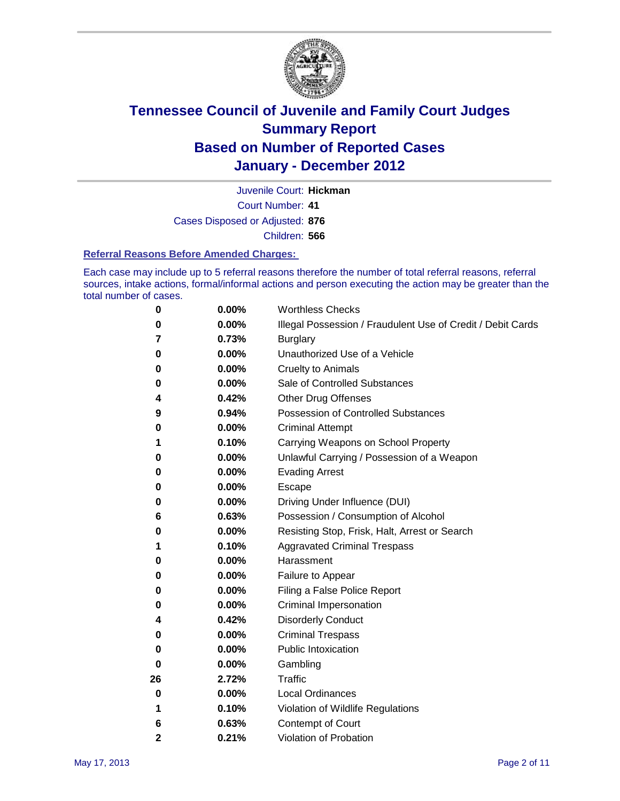

Court Number: **41** Juvenile Court: **Hickman**

Cases Disposed or Adjusted: **876**

Children: **566**

#### **Referral Reasons Before Amended Charges:**

Each case may include up to 5 referral reasons therefore the number of total referral reasons, referral sources, intake actions, formal/informal actions and person executing the action may be greater than the total number of cases.

| 0            | 0.00% | <b>Worthless Checks</b>                                     |
|--------------|-------|-------------------------------------------------------------|
| 0            | 0.00% | Illegal Possession / Fraudulent Use of Credit / Debit Cards |
| 7            | 0.73% | <b>Burglary</b>                                             |
| 0            | 0.00% | Unauthorized Use of a Vehicle                               |
| 0            | 0.00% | <b>Cruelty to Animals</b>                                   |
| 0            | 0.00% | Sale of Controlled Substances                               |
| 4            | 0.42% | <b>Other Drug Offenses</b>                                  |
| 9            | 0.94% | <b>Possession of Controlled Substances</b>                  |
| 0            | 0.00% | <b>Criminal Attempt</b>                                     |
| 1            | 0.10% | Carrying Weapons on School Property                         |
| 0            | 0.00% | Unlawful Carrying / Possession of a Weapon                  |
| 0            | 0.00% | <b>Evading Arrest</b>                                       |
| 0            | 0.00% | Escape                                                      |
| 0            | 0.00% | Driving Under Influence (DUI)                               |
| 6            | 0.63% | Possession / Consumption of Alcohol                         |
| 0            | 0.00% | Resisting Stop, Frisk, Halt, Arrest or Search               |
| 1            | 0.10% | <b>Aggravated Criminal Trespass</b>                         |
| 0            | 0.00% | Harassment                                                  |
| 0            | 0.00% | Failure to Appear                                           |
| 0            | 0.00% | Filing a False Police Report                                |
| 0            | 0.00% | Criminal Impersonation                                      |
| 4            | 0.42% | <b>Disorderly Conduct</b>                                   |
| 0            | 0.00% | <b>Criminal Trespass</b>                                    |
| 0            | 0.00% | <b>Public Intoxication</b>                                  |
| 0            | 0.00% | Gambling                                                    |
| 26           | 2.72% | <b>Traffic</b>                                              |
| 0            | 0.00% | <b>Local Ordinances</b>                                     |
| 1            | 0.10% | Violation of Wildlife Regulations                           |
| 6            | 0.63% | Contempt of Court                                           |
| $\mathbf{2}$ | 0.21% | Violation of Probation                                      |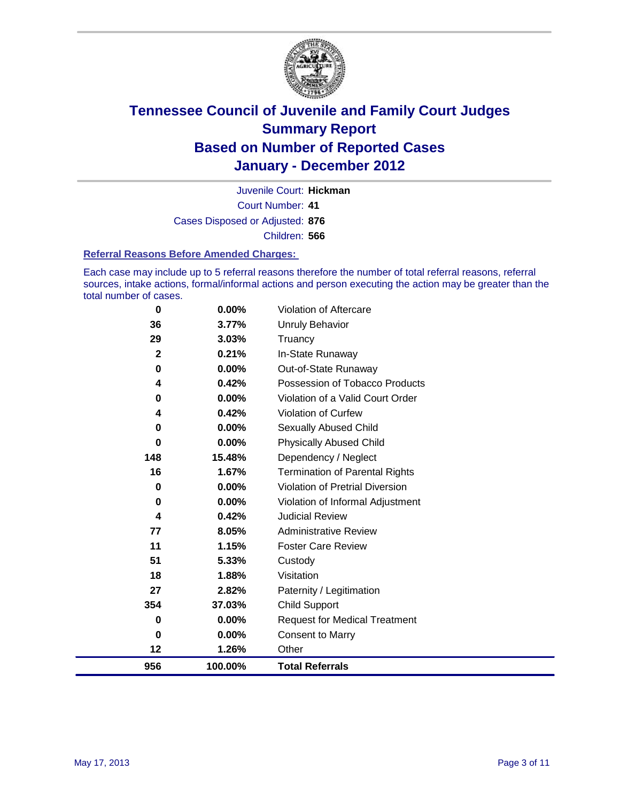

Court Number: **41** Juvenile Court: **Hickman** Cases Disposed or Adjusted: **876** Children: **566**

#### **Referral Reasons Before Amended Charges:**

Each case may include up to 5 referral reasons therefore the number of total referral reasons, referral sources, intake actions, formal/informal actions and person executing the action may be greater than the total number of cases.

| $\mathbf 0$             | 0.00%    | Violation of Aftercare                 |
|-------------------------|----------|----------------------------------------|
| 36                      | 3.77%    | <b>Unruly Behavior</b>                 |
| 29                      | 3.03%    | Truancy                                |
| $\overline{\mathbf{2}}$ | 0.21%    | In-State Runaway                       |
| 0                       | $0.00\%$ | Out-of-State Runaway                   |
| 4                       | 0.42%    | Possession of Tobacco Products         |
| 0                       | 0.00%    | Violation of a Valid Court Order       |
| 4                       | 0.42%    | <b>Violation of Curfew</b>             |
| 0                       | 0.00%    | Sexually Abused Child                  |
| 0                       | 0.00%    | <b>Physically Abused Child</b>         |
| 148                     | 15.48%   | Dependency / Neglect                   |
| 16                      | 1.67%    | <b>Termination of Parental Rights</b>  |
| 0                       | 0.00%    | <b>Violation of Pretrial Diversion</b> |
| 0                       | 0.00%    | Violation of Informal Adjustment       |
| 4                       | 0.42%    | <b>Judicial Review</b>                 |
| 77                      | 8.05%    | <b>Administrative Review</b>           |
| 11                      | 1.15%    | <b>Foster Care Review</b>              |
| 51                      | 5.33%    | Custody                                |
| 18                      | 1.88%    | Visitation                             |
| 27                      | 2.82%    | Paternity / Legitimation               |
| 354                     | 37.03%   | <b>Child Support</b>                   |
| 0                       | 0.00%    | <b>Request for Medical Treatment</b>   |
| $\bf{0}$                | 0.00%    | <b>Consent to Marry</b>                |
| 12                      | 1.26%    | Other                                  |
| 956                     | 100.00%  | <b>Total Referrals</b>                 |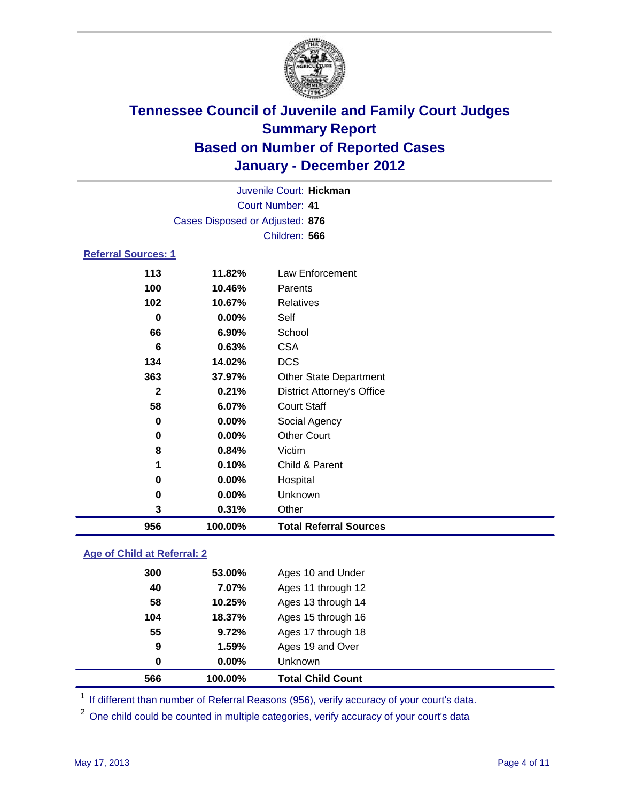

| 956                        | 100.00%                         | <b>Total Referral Sources</b>     |  |  |
|----------------------------|---------------------------------|-----------------------------------|--|--|
| 3                          | 0.31%                           | Other                             |  |  |
| 0                          | 0.00%                           | Unknown                           |  |  |
| 0                          | 0.00%                           | Hospital                          |  |  |
| 1                          | 0.10%                           | Child & Parent                    |  |  |
| 8                          | 0.84%                           | Victim                            |  |  |
| 0                          | 0.00%                           | <b>Other Court</b>                |  |  |
| $\bf{0}$                   | 0.00%                           | Social Agency                     |  |  |
| 58                         | 6.07%                           | <b>Court Staff</b>                |  |  |
| $\mathbf{2}$               | 0.21%                           | <b>District Attorney's Office</b> |  |  |
| 363                        | 37.97%                          | <b>Other State Department</b>     |  |  |
| 134                        | 14.02%                          | <b>DCS</b>                        |  |  |
| 6                          | 0.63%                           | <b>CSA</b>                        |  |  |
| 66                         | 6.90%                           | School                            |  |  |
| $\bf{0}$                   | 0.00%                           | Self                              |  |  |
| 102                        | 10.67%                          | <b>Relatives</b>                  |  |  |
| 100                        | 10.46%                          | Parents                           |  |  |
| 113                        | 11.82%                          | Law Enforcement                   |  |  |
| <b>Referral Sources: 1</b> |                                 |                                   |  |  |
|                            |                                 | Children: 566                     |  |  |
|                            | Cases Disposed or Adjusted: 876 |                                   |  |  |
| <b>Court Number: 41</b>    |                                 |                                   |  |  |
|                            | Juvenile Court: Hickman         |                                   |  |  |
|                            |                                 |                                   |  |  |

### **Age of Child at Referral: 2**

| 566 | 100.00% | <b>Total Child Count</b> |
|-----|---------|--------------------------|
| 0   | 0.00%   | <b>Unknown</b>           |
| 9   | 1.59%   | Ages 19 and Over         |
| 55  | 9.72%   | Ages 17 through 18       |
| 104 | 18.37%  | Ages 15 through 16       |
| 58  | 10.25%  | Ages 13 through 14       |
| 40  | 7.07%   | Ages 11 through 12       |
| 300 | 53.00%  | Ages 10 and Under        |
|     |         |                          |

<sup>1</sup> If different than number of Referral Reasons (956), verify accuracy of your court's data.

<sup>2</sup> One child could be counted in multiple categories, verify accuracy of your court's data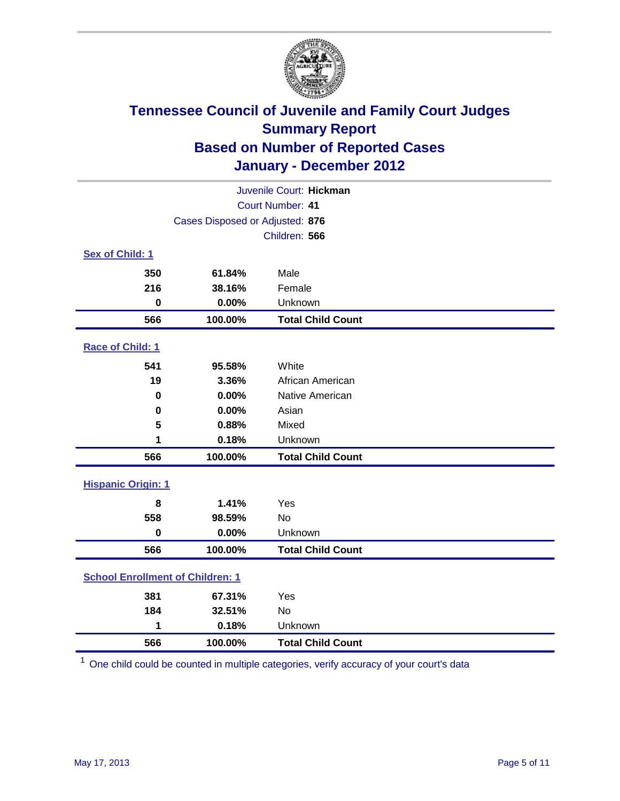

|                                         | Juvenile Court: Hickman |                          |  |  |  |
|-----------------------------------------|-------------------------|--------------------------|--|--|--|
| Court Number: 41                        |                         |                          |  |  |  |
| Cases Disposed or Adjusted: 876         |                         |                          |  |  |  |
|                                         |                         | Children: 566            |  |  |  |
| Sex of Child: 1                         |                         |                          |  |  |  |
| 350                                     | 61.84%                  | Male                     |  |  |  |
| 216                                     | 38.16%                  | Female                   |  |  |  |
| $\bf{0}$                                | 0.00%                   | Unknown                  |  |  |  |
| 566                                     | 100.00%                 | <b>Total Child Count</b> |  |  |  |
| Race of Child: 1                        |                         |                          |  |  |  |
| 541                                     | 95.58%                  | White                    |  |  |  |
| 19                                      | 3.36%                   | African American         |  |  |  |
| 0                                       | 0.00%                   | Native American          |  |  |  |
| 0                                       | 0.00%                   | Asian                    |  |  |  |
| 5                                       | 0.88%                   | Mixed                    |  |  |  |
| 1                                       | 0.18%                   | Unknown                  |  |  |  |
| 566                                     | 100.00%                 | <b>Total Child Count</b> |  |  |  |
| <b>Hispanic Origin: 1</b>               |                         |                          |  |  |  |
| 8                                       | 1.41%                   | Yes                      |  |  |  |
| 558                                     | 98.59%                  | <b>No</b>                |  |  |  |
| $\mathbf 0$                             | 0.00%                   | Unknown                  |  |  |  |
| 566                                     | 100.00%                 | <b>Total Child Count</b> |  |  |  |
| <b>School Enrollment of Children: 1</b> |                         |                          |  |  |  |
| 381                                     | 67.31%                  | Yes                      |  |  |  |
| 184                                     | 32.51%                  | No                       |  |  |  |
| 1                                       | 0.18%                   | Unknown                  |  |  |  |
| 566                                     | 100.00%                 | <b>Total Child Count</b> |  |  |  |

One child could be counted in multiple categories, verify accuracy of your court's data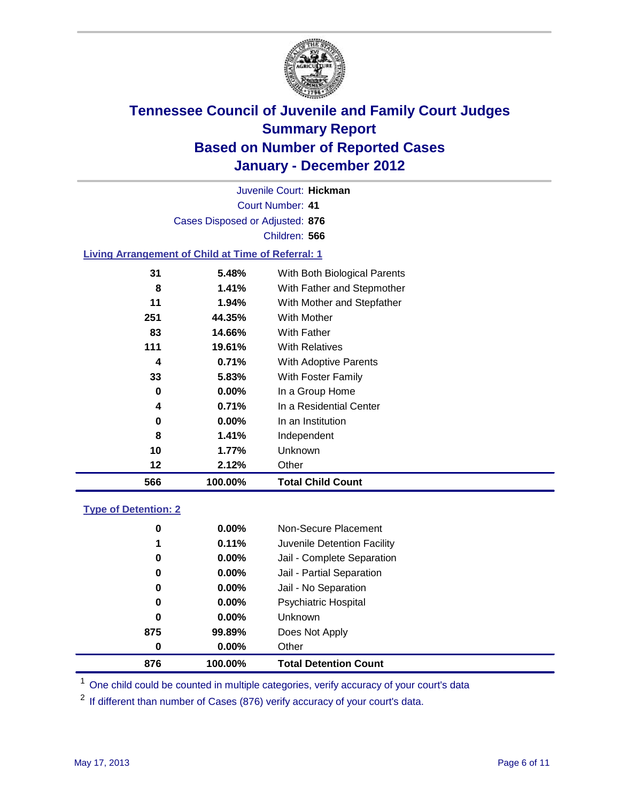

Court Number: **41** Juvenile Court: **Hickman** Cases Disposed or Adjusted: **876** Children: **566**

#### **Living Arrangement of Child at Time of Referral: 1**

| 566 | 100.00%       | <b>Total Child Count</b>     |
|-----|---------------|------------------------------|
| 12  | 2.12%         | Other                        |
| 10  | 1.77%         | Unknown                      |
|     | 8<br>1.41%    | Independent                  |
|     | $0.00\%$<br>0 | In an Institution            |
|     | 0.71%<br>4    | In a Residential Center      |
|     | $0.00\%$<br>0 | In a Group Home              |
| 33  | 5.83%         | With Foster Family           |
|     | 4<br>0.71%    | With Adoptive Parents        |
| 111 | 19.61%        | <b>With Relatives</b>        |
| 83  | 14.66%        | <b>With Father</b>           |
| 251 | 44.35%        | <b>With Mother</b>           |
| 11  | 1.94%         | With Mother and Stepfather   |
|     | 1.41%<br>8    | With Father and Stepmother   |
| 31  | 5.48%         | With Both Biological Parents |
|     |               |                              |

#### **Type of Detention: 2**

| 876      | 100.00%  | <b>Total Detention Count</b> |  |
|----------|----------|------------------------------|--|
| $\bf{0}$ | 0.00%    | Other                        |  |
| 875      | 99.89%   | Does Not Apply               |  |
| 0        | $0.00\%$ | <b>Unknown</b>               |  |
| 0        | $0.00\%$ | Psychiatric Hospital         |  |
| 0        | 0.00%    | Jail - No Separation         |  |
| 0        | $0.00\%$ | Jail - Partial Separation    |  |
| 0        | $0.00\%$ | Jail - Complete Separation   |  |
| 1        | 0.11%    | Juvenile Detention Facility  |  |
| 0        | $0.00\%$ | Non-Secure Placement         |  |
|          |          |                              |  |

<sup>1</sup> One child could be counted in multiple categories, verify accuracy of your court's data

<sup>2</sup> If different than number of Cases (876) verify accuracy of your court's data.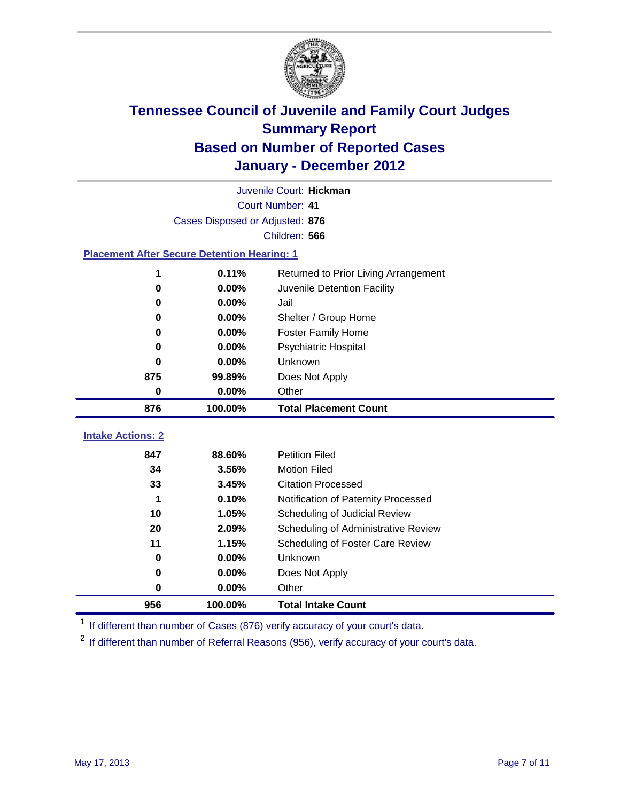

|                                                    | Juvenile Court: Hickman         |                                      |  |  |  |
|----------------------------------------------------|---------------------------------|--------------------------------------|--|--|--|
|                                                    | Court Number: 41                |                                      |  |  |  |
|                                                    | Cases Disposed or Adjusted: 876 |                                      |  |  |  |
|                                                    |                                 | Children: 566                        |  |  |  |
| <b>Placement After Secure Detention Hearing: 1</b> |                                 |                                      |  |  |  |
| 1                                                  | 0.11%                           | Returned to Prior Living Arrangement |  |  |  |
| $\bf{0}$                                           | 0.00%                           | Juvenile Detention Facility          |  |  |  |
| $\bf{0}$                                           | 0.00%                           | Jail                                 |  |  |  |
| 0                                                  | 0.00%                           | Shelter / Group Home                 |  |  |  |
| 0                                                  | 0.00%                           | <b>Foster Family Home</b>            |  |  |  |
| $\bf{0}$                                           | 0.00%                           | <b>Psychiatric Hospital</b>          |  |  |  |
| 0                                                  | 0.00%                           | Unknown                              |  |  |  |
| 875                                                | 99.89%                          | Does Not Apply                       |  |  |  |
| 0                                                  | 0.00%                           | Other                                |  |  |  |
|                                                    |                                 |                                      |  |  |  |
| 876                                                | 100.00%                         | <b>Total Placement Count</b>         |  |  |  |
| <b>Intake Actions: 2</b>                           |                                 |                                      |  |  |  |
| 847                                                | 88.60%                          | <b>Petition Filed</b>                |  |  |  |
| 34                                                 | 3.56%                           | <b>Motion Filed</b>                  |  |  |  |
| 33                                                 | 3.45%                           | <b>Citation Processed</b>            |  |  |  |
| 1                                                  | 0.10%                           | Notification of Paternity Processed  |  |  |  |
| 10                                                 | 1.05%                           | Scheduling of Judicial Review        |  |  |  |
| 20                                                 | 2.09%                           | Scheduling of Administrative Review  |  |  |  |
| 11                                                 | 1.15%                           | Scheduling of Foster Care Review     |  |  |  |
| 0                                                  | 0.00%                           | Unknown                              |  |  |  |
| 0                                                  | 0.00%                           | Does Not Apply                       |  |  |  |
| $\pmb{0}$                                          | 0.00%                           | Other                                |  |  |  |

<sup>1</sup> If different than number of Cases (876) verify accuracy of your court's data.

<sup>2</sup> If different than number of Referral Reasons (956), verify accuracy of your court's data.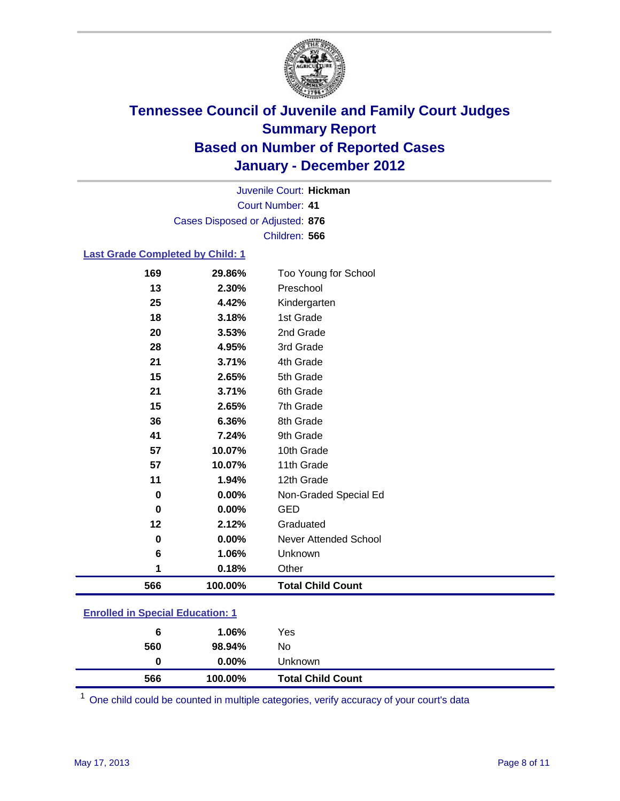

Court Number: **41** Juvenile Court: **Hickman** Cases Disposed or Adjusted: **876** Children: **566**

#### **Last Grade Completed by Child: 1**

| 566 | 100.00%  | <b>Total Child Count</b>     |
|-----|----------|------------------------------|
| 1   | 0.18%    | Other                        |
| 6   | 1.06%    | Unknown                      |
| 0   | $0.00\%$ | <b>Never Attended School</b> |
| 12  | 2.12%    | Graduated                    |
| 0   | 0.00%    | <b>GED</b>                   |
| 0   | 0.00%    | Non-Graded Special Ed        |
| 11  | 1.94%    | 12th Grade                   |
| 57  | 10.07%   | 11th Grade                   |
| 57  | 10.07%   | 10th Grade                   |
| 41  | 7.24%    | 9th Grade                    |
| 36  | 6.36%    | 8th Grade                    |
| 15  | 2.65%    | 7th Grade                    |
| 21  | 3.71%    | 6th Grade                    |
| 15  | 2.65%    | 5th Grade                    |
| 21  | 3.71%    | 4th Grade                    |
| 28  | 4.95%    | 3rd Grade                    |
| 20  | 3.53%    | 2nd Grade                    |
| 18  | 3.18%    | 1st Grade                    |
| 25  | 4.42%    | Kindergarten                 |
| 13  | 2.30%    | Preschool                    |
| 169 | 29.86%   | Too Young for School         |

### **Enrolled in Special Education: 1**

| 6   | 1.06%    | Yes                      |
|-----|----------|--------------------------|
| 560 | 98.94%   | No                       |
| 0   | $0.00\%$ | Unknown                  |
| 566 | 100.00%  | <b>Total Child Count</b> |

One child could be counted in multiple categories, verify accuracy of your court's data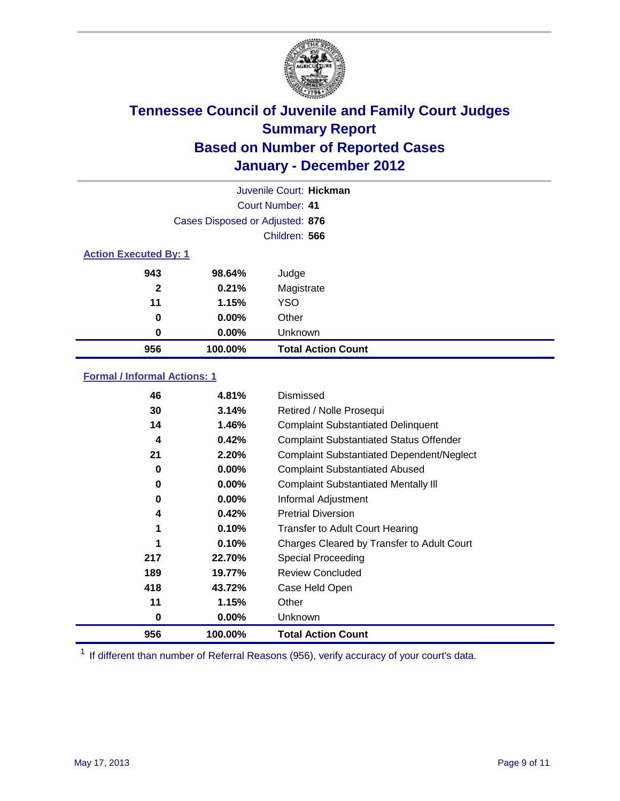

|                              | Juvenile Court: Hickman         |                           |  |  |  |
|------------------------------|---------------------------------|---------------------------|--|--|--|
|                              | Court Number: 41                |                           |  |  |  |
|                              | Cases Disposed or Adjusted: 876 |                           |  |  |  |
|                              | Children: 566                   |                           |  |  |  |
| <b>Action Executed By: 1</b> |                                 |                           |  |  |  |
| 943                          | 98.64%                          | Judge                     |  |  |  |
| $\mathbf{2}$                 | 0.21%                           | Magistrate                |  |  |  |
| 11                           | 1.15%                           | <b>YSO</b>                |  |  |  |
| 0                            | $0.00\%$                        | Other                     |  |  |  |
| 0                            | 0.00%                           | Unknown                   |  |  |  |
| 956                          | 100.00%                         | <b>Total Action Count</b> |  |  |  |

### **Formal / Informal Actions: 1**

| 46  | 4.81%    | Dismissed                                        |
|-----|----------|--------------------------------------------------|
| 30  | 3.14%    | Retired / Nolle Prosequi                         |
| 14  | 1.46%    | <b>Complaint Substantiated Delinquent</b>        |
| 4   | 0.42%    | <b>Complaint Substantiated Status Offender</b>   |
| 21  | 2.20%    | <b>Complaint Substantiated Dependent/Neglect</b> |
| 0   | 0.00%    | <b>Complaint Substantiated Abused</b>            |
| 0   | $0.00\%$ | <b>Complaint Substantiated Mentally III</b>      |
| 0   | $0.00\%$ | Informal Adjustment                              |
| 4   | 0.42%    | <b>Pretrial Diversion</b>                        |
| 1   | 0.10%    | <b>Transfer to Adult Court Hearing</b>           |
|     | 0.10%    | Charges Cleared by Transfer to Adult Court       |
| 217 | 22.70%   | Special Proceeding                               |
| 189 | 19.77%   | <b>Review Concluded</b>                          |
| 418 | 43.72%   | Case Held Open                                   |
| 11  | 1.15%    | Other                                            |
| 0   | $0.00\%$ | <b>Unknown</b>                                   |
| 956 | 100.00%  | <b>Total Action Count</b>                        |

<sup>1</sup> If different than number of Referral Reasons (956), verify accuracy of your court's data.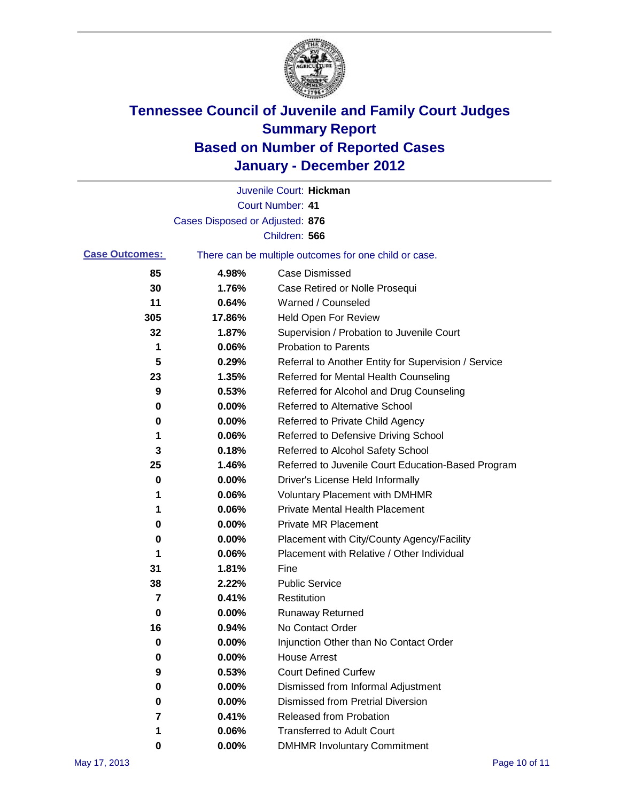

|                       |                                 | Juvenile Court: Hickman                               |
|-----------------------|---------------------------------|-------------------------------------------------------|
|                       |                                 | <b>Court Number: 41</b>                               |
|                       | Cases Disposed or Adjusted: 876 |                                                       |
|                       |                                 | Children: 566                                         |
| <b>Case Outcomes:</b> |                                 | There can be multiple outcomes for one child or case. |
| 85                    | 4.98%                           | <b>Case Dismissed</b>                                 |
| 30                    | 1.76%                           | Case Retired or Nolle Prosequi                        |
| 11                    | 0.64%                           | Warned / Counseled                                    |
| 305                   | 17.86%                          | <b>Held Open For Review</b>                           |
| 32                    | 1.87%                           | Supervision / Probation to Juvenile Court             |
| 1                     | 0.06%                           | <b>Probation to Parents</b>                           |
| 5                     | 0.29%                           | Referral to Another Entity for Supervision / Service  |
| 23                    | 1.35%                           | Referred for Mental Health Counseling                 |
| 9                     | 0.53%                           | Referred for Alcohol and Drug Counseling              |
| 0                     | 0.00%                           | Referred to Alternative School                        |
| 0                     | 0.00%                           | Referred to Private Child Agency                      |
| 1                     | 0.06%                           | Referred to Defensive Driving School                  |
| 3                     | 0.18%                           | Referred to Alcohol Safety School                     |
| 25                    | 1.46%                           | Referred to Juvenile Court Education-Based Program    |
| 0                     | 0.00%                           | Driver's License Held Informally                      |
| 1                     | 0.06%                           | <b>Voluntary Placement with DMHMR</b>                 |
| 1                     | 0.06%                           | <b>Private Mental Health Placement</b>                |
| 0                     | 0.00%                           | <b>Private MR Placement</b>                           |
| 0                     | 0.00%                           | Placement with City/County Agency/Facility            |
| 1                     | 0.06%                           | Placement with Relative / Other Individual            |
| 31                    | 1.81%                           | Fine                                                  |
| 38                    | 2.22%                           | <b>Public Service</b>                                 |
| 7                     | 0.41%                           | Restitution                                           |
| 0                     | 0.00%                           | Runaway Returned                                      |
| 16                    | 0.94%                           | No Contact Order                                      |
| 0                     | 0.00%                           | Injunction Other than No Contact Order                |
| 0                     | 0.00%                           | <b>House Arrest</b>                                   |
| 9                     | 0.53%                           | <b>Court Defined Curfew</b>                           |
| 0                     | 0.00%                           | Dismissed from Informal Adjustment                    |
| 0                     | 0.00%                           | <b>Dismissed from Pretrial Diversion</b>              |
| 7                     | 0.41%                           | Released from Probation                               |
| 1                     | 0.06%                           | <b>Transferred to Adult Court</b>                     |
| 0                     | 0.00%                           | <b>DMHMR Involuntary Commitment</b>                   |